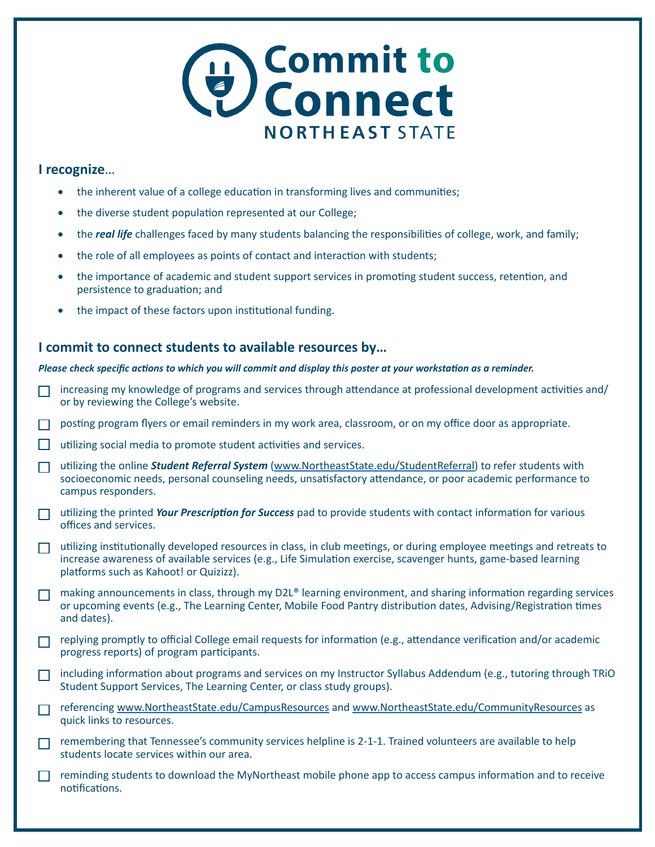

## **I recognize**…

- the inherent value of a college education in transforming lives and communities;
- the diverse student population represented at our College;
- the *real life* challenges faced by many students balancing the responsibilities of college, work, and family;
- the role of all employees as points of contact and interaction with students;
- the importance of academic and student support services in promoting student success, retention, and persistence to graduation; and
- the impact of these factors upon institutional funding.

## **I commit to connect students to available resources by…**

## *Please check specific actions to which you will commit and display this poster at your workstation as a reminder.*

- increasing my knowledge of programs and services through attendance at professional development activities and/ or by reviewing the College's website.
- posting program flyers or email reminders in my work area, classroom, or on my office door as appropriate.
- $\Box$  utilizing social media to promote student activities and services.
- utilizing the online *Student Referral System* ([www.NortheastState.edu/StudentReferral\)](http://www.NortheastState.edu/StudentReferral) to refer students with socioeconomic needs, personal counseling needs, unsatisfactory attendance, or poor academic performance to campus responders.
- utilizing the printed *[Your Prescription for Success](www.NortheastState.edu/PrescriptionForSuccess)* pad to provide students with contact information for various offices and services.
- $\Box$  utilizing institutionally developed resources in class, in club meetings, or during employee meetings and retreats to increase awareness of available services (e.g., Life Simulation exercise, scavenger hunts, game-based learning platforms such as Kahoot! or Quizizz).
- making announcements in class, through my D2L® learning environment, and sharing information regarding services or upcoming events (e.g., The Learning Center, Mobile Food Pantry distribution dates, Advising/Registration times and dates).
- replying promptly to official College email requests for information (e.g., attendance verification and/or academic progress reports) of program participants.
- including information about programs and services on my Instructor Syllabus Addendum (e.g., tutoring through TRiO Student Support Services, The Learning Center, or class study groups).
- referencing [www.NortheastState.edu/CampusResources](http://www.NortheastState.edu/CampusResources) and [www.NortheastState.edu/CommunityResources](http://www.NortheastState.edu/CommunityResources) as quick links to resources.
- remembering that Tennessee's community services helpline is 2-1-1. Trained volunteers are available to help students locate services within our area.
- reminding students to download the [MyNortheast](http://www.northeaststate.edu//Students/MyNortheast-Mobile-App/) mobile phone app to access campus information and to receive notifications.